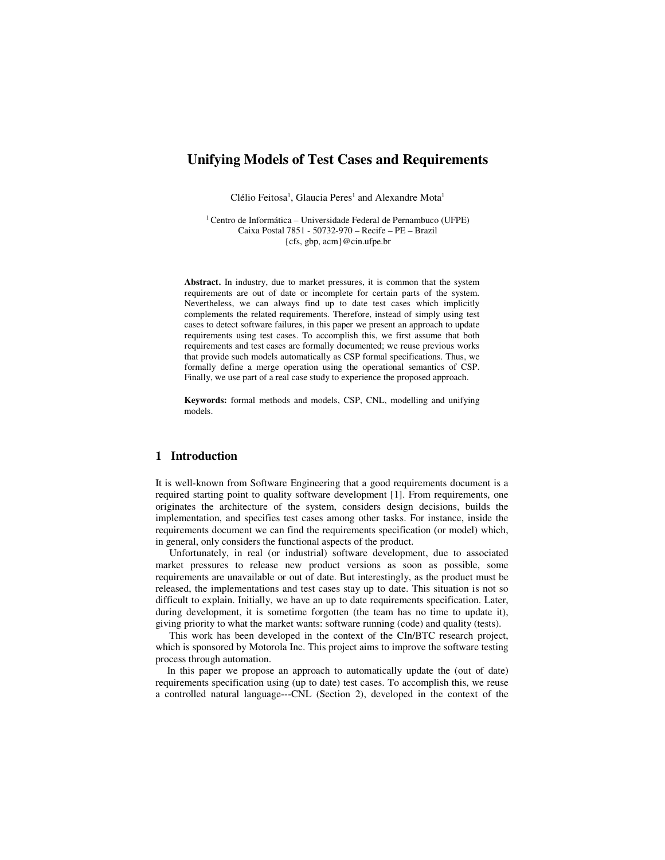# **Unifying Models of Test Cases and Requirements**

Clélio Feitosa<sup>1</sup>, Glaucia Peres<sup>1</sup> and Alexandre Mota<sup>1</sup>

<sup>1</sup>Centro de Informática – Universidade Federal de Pernambuco (UFPE) Caixa Postal 7851 - 50732-970 – Recife – PE – Brazil {cfs, gbp, acm}@cin.ufpe.br

**Abstract.** In industry, due to market pressures, it is common that the system requirements are out of date or incomplete for certain parts of the system. Nevertheless, we can always find up to date test cases which implicitly complements the related requirements. Therefore, instead of simply using test cases to detect software failures, in this paper we present an approach to update requirements using test cases. To accomplish this, we first assume that both requirements and test cases are formally documented; we reuse previous works that provide such models automatically as CSP formal specifications. Thus, we formally define a merge operation using the operational semantics of CSP. Finally, we use part of a real case study to experience the proposed approach.

**Keywords:** formal methods and models, CSP, CNL, modelling and unifying models.

## **1 Introduction**

It is well-known from Software Engineering that a good requirements document is a required starting point to quality software development [1]. From requirements, one originates the architecture of the system, considers design decisions, builds the implementation, and specifies test cases among other tasks. For instance, inside the requirements document we can find the requirements specification (or model) which, in general, only considers the functional aspects of the product.

Unfortunately, in real (or industrial) software development, due to associated market pressures to release new product versions as soon as possible, some requirements are unavailable or out of date. But interestingly, as the product must be released, the implementations and test cases stay up to date. This situation is not so difficult to explain. Initially, we have an up to date requirements specification. Later, during development, it is sometime forgotten (the team has no time to update it), giving priority to what the market wants: software running (code) and quality (tests).

This work has been developed in the context of the CIn/BTC research project, which is sponsored by Motorola Inc. This project aims to improve the software testing process through automation.

In this paper we propose an approach to automatically update the (out of date) requirements specification using (up to date) test cases. To accomplish this, we reuse a controlled natural language---CNL (Section 2), developed in the context of the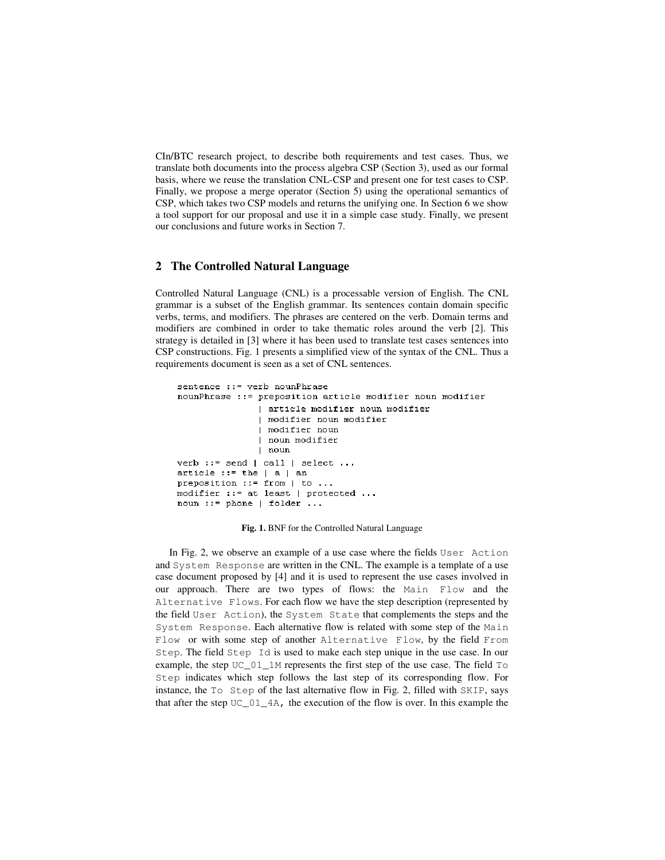CIn/BTC research project, to describe both requirements and test cases. Thus, we translate both documents into the process algebra CSP (Section 3), used as our formal basis, where we reuse the translation CNL-CSP and present one for test cases to CSP. Finally, we propose a merge operator (Section 5) using the operational semantics of CSP, which takes two CSP models and returns the unifying one. In Section 6 we show a tool support for our proposal and use it in a simple case study. Finally, we present our conclusions and future works in Section 7.

### **2 The Controlled Natural Language**

Controlled Natural Language (CNL) is a processable version of English. The CNL grammar is a subset of the English grammar. Its sentences contain domain specific verbs, terms, and modifiers. The phrases are centered on the verb. Domain terms and modifiers are combined in order to take thematic roles around the verb [2]. This strategy is detailed in [3] where it has been used to translate test cases sentences into CSP constructions. Fig. 1 presents a simplified view of the syntax of the CNL. Thus a requirements document is seen as a set of CNL sentences.

```
sentence ::= verb nounPhrase
nounPhrase ::= preposition article modifier noun modifier
                | article modifier noun modifier
                | modifier noun modifier
                | modifier noun
                | noun modifier
                | noun
verb ::= send | call | select ...
article ::= the |a| an
preposition ::= from | to ...
\texttt{modifier} ::=\texttt{at least} \texttt{| protected ...}noun ::= phone | folder ...
```
**Fig. 1.** BNF for the Controlled Natural Language

In Fig. 2, we observe an example of a use case where the fields User Action and System Response are written in the CNL. The example is a template of a use case document proposed by [4] and it is used to represent the use cases involved in our approach. There are two types of flows: the Main Flow and the Alternative Flows. For each flow we have the step description (represented by the field User Action), the System State that complements the steps and the System Response. Each alternative flow is related with some step of the Main Flow or with some step of another Alternative Flow, by the field From Step. The field Step Id is used to make each step unique in the use case. In our example, the step UC\_01\_1M represents the first step of the use case. The field To Step indicates which step follows the last step of its corresponding flow. For instance, the To Step of the last alternative flow in Fig. 2, filled with SKIP, says that after the step  $UC_01_4A$ , the execution of the flow is over. In this example the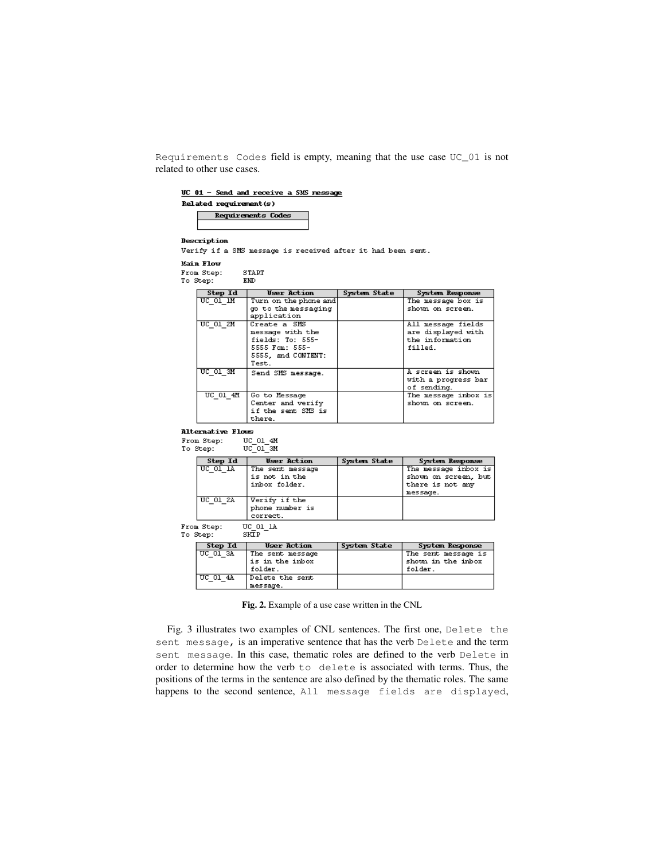Requirements Codes field is empty, meaning that the use case UC\_01 is not related to other use cases.

 $\underline{UC}$  01 - Send and receive a SMS message

 $Related$  requirement( $s$ )

Requirements Codes

Description

Verify if a SMS message is received after it had been sent.

Main Flow

From Step:  ${\tt START}$ To Step:  $\text{EMD}$ 

| Step Id    | <b>User Action</b>                                                                                    | System State | System Response                                                        |
|------------|-------------------------------------------------------------------------------------------------------|--------------|------------------------------------------------------------------------|
| UC 01 IM   | Turn on the phone and                                                                                 |              | The message box is                                                     |
|            | go to the messaging<br>application                                                                    |              | shown on screen.                                                       |
| UC 01 2M   | Create a SMS<br>message with the<br>fields: To: 555-<br>5555 Fom: 555-<br>5555, and CONTENT:<br>Test. |              | All message fields<br>are displayed with<br>the information<br>filled. |
| UC 01 3M   | Send SMS message.                                                                                     |              | A screen is shown<br>with a progress bar<br>of sending.                |
| $UC$ 01 4M | Go to Message<br>Center and verify<br>if the sent SMS is<br>there.                                    |              | The message inbox is<br>shown on screen.                               |

**Alternative Flows** 

 $UC_01_4M$ From Step:

| To Step: | UC 01 SM |  |
|----------|----------|--|
|          |          |  |

| Step Id          | <b>User Action</b> | System State | System Response      |  |
|------------------|--------------------|--------------|----------------------|--|
| UC 01 LA         | The sent message   |              | The message inbox is |  |
|                  | is not in the      |              | shown on screen, but |  |
|                  | inbox folder.      |              | there is not any     |  |
|                  |                    |              | message.             |  |
| UC $012$         | Verify if the      |              |                      |  |
|                  | phone number is    |              |                      |  |
|                  | correct.           |              |                      |  |
| <b>TTO OI 13</b> |                    |              |                      |  |

From Step: UC\_01\_1A<br>SKIP To Step:

| Step Id        | <b>User Action</b> | System State | System Response     |
|----------------|--------------------|--------------|---------------------|
| UC 01 3A       | The sent message   |              | The sent message is |
|                | is in the inbox    |              | shown in the inbox  |
|                | folder.            |              | folder.             |
| $UC$ $01$ $4A$ | Delete the sent    |              |                     |
|                | message.           |              |                     |

**Fig. 2.** Example of a use case written in the CNL

Fig. 3 illustrates two examples of CNL sentences. The first one, Delete the sent message, is an imperative sentence that has the verb Delete and the term sent message. In this case, thematic roles are defined to the verb Delete in order to determine how the verb to delete is associated with terms. Thus, the positions of the terms in the sentence are also defined by the thematic roles. The same happens to the second sentence, All message fields are displayed,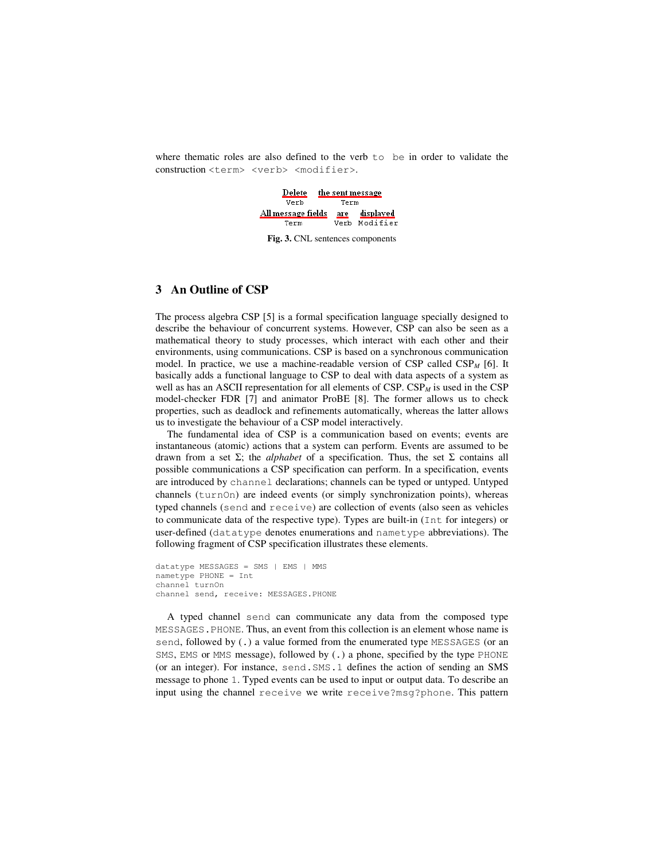where thematic roles are also defined to the verb  $\pm \circ$  be in order to validate the construction <term> <verb> <modifier>.



**Fig. 3.** CNL sentences components

## **3 An Outline of CSP**

The process algebra CSP [5] is a formal specification language specially designed to describe the behaviour of concurrent systems. However, CSP can also be seen as a mathematical theory to study processes, which interact with each other and their environments, using communications. CSP is based on a synchronous communication model. In practice, we use a machine-readable version of  $CSP$  called  $CSP<sub>M</sub>$  [6]. It basically adds a functional language to CSP to deal with data aspects of a system as well as has an ASCII representation for all elements of  $CSP$ .  $CSP<sub>M</sub>$  is used in the CSP model-checker FDR [7] and animator ProBE [8]. The former allows us to check properties, such as deadlock and refinements automatically, whereas the latter allows us to investigate the behaviour of a CSP model interactively.

The fundamental idea of CSP is a communication based on events; events are instantaneous (atomic) actions that a system can perform. Events are assumed to be drawn from a set Σ; the *alphabet* of a specification. Thus, the set Σ contains all possible communications a CSP specification can perform. In a specification, events are introduced by channel declarations; channels can be typed or untyped. Untyped channels (turnOn) are indeed events (or simply synchronization points), whereas typed channels (send and receive) are collection of events (also seen as vehicles to communicate data of the respective type). Types are built-in (Int for integers) or user-defined (datatype denotes enumerations and nametype abbreviations). The following fragment of CSP specification illustrates these elements.

```
datatype MESSAGES = SMS | EMS | MMS 
nametype PHONE = Int 
channel turnOn 
channel send, receive: MESSAGES.PHONE
```
A typed channel send can communicate any data from the composed type MESSAGES.PHONE. Thus, an event from this collection is an element whose name is send, followed by (.) a value formed from the enumerated type MESSAGES (or an SMS, EMS or MMS message), followed by (.) a phone, specified by the type PHONE (or an integer). For instance, send.SMS.1 defines the action of sending an SMS message to phone 1. Typed events can be used to input or output data. To describe an input using the channel receive we write receive?msg?phone. This pattern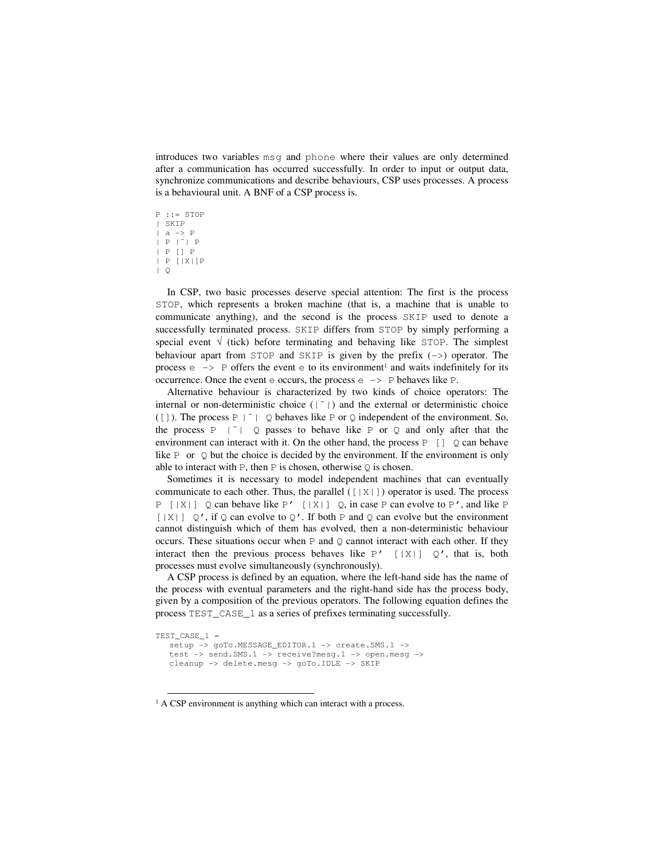introduces two variables msg and phone where their values are only determined after a communication has occurred successfully. In order to input or output data, synchronize communications and describe behaviours, CSP uses processes. A process is a behavioural unit. A BNF of a CSP process is.

P ::= STOP | SKIP  $|$  a  $\rightarrow$  P | P |˜| P | P [] P | P [|X|]P | Q

<u>.</u>

In CSP, two basic processes deserve special attention: The first is the process STOP, which represents a broken machine (that is, a machine that is unable to communicate anything), and the second is the process SKIP used to denote a successfully terminated process. SKIP differs from STOP by simply performing a special event  $\sqrt{(t/ck)}$  before terminating and behaving like STOP. The simplest behaviour apart from  $STOP$  and  $SKIP$  is given by the prefix  $(-)$  operator. The process  $\epsilon \rightarrow$  P offers the event  $\epsilon$  to its environment<sup>1</sup> and waits indefinitely for its occurrence. Once the event  $\in$  occurs, the process  $\in$  -> P behaves like P.

Alternative behaviour is characterized by two kinds of choice operators: The internal or non-deterministic choice  $(|\tilde{e}|)$  and the external or deterministic choice ([]). The process  $P \mid \tilde{ } \mid Q$  behaves like P or Q independent of the environment. So, the process  $P \mid \tilde{Q}$  passes to behave like P or Q and only after that the environment can interact with it. On the other hand, the process  $P \quad [ ] \quad Q$  can behave like P or  $\Diamond$  but the choice is decided by the environment. If the environment is only able to interact with  $P$ , then  $P$  is chosen, otherwise  $Q$  is chosen.

Sometimes it is necessary to model independent machines that can eventually communicate to each other. Thus, the parallel  $(\lceil |X| \rceil)$  operator is used. The process  $P \mid |X|$  \le 2 can behave like P'  $\mid |X|$  \le 2 \, in case P can evolve to P', and like P  $[|X|]$  Q', if Q can evolve to Q'. If both P and Q can evolve but the environment cannot distinguish which of them has evolved, then a non-deterministic behaviour occurs. These situations occur when  $P$  and  $Q$  cannot interact with each other. If they interact then the previous process behaves like  $P'$  [|X|]  $Q'$ , that is, both processes must evolve simultaneously (synchronously).

A CSP process is defined by an equation, where the left-hand side has the name of the process with eventual parameters and the right-hand side has the process body, given by a composition of the previous operators. The following equation defines the process TEST\_CASE\_1 as a series of prefixes terminating successfully.

```
TEST_CASE_1 = 
  setup -> goTo.MESSAGE_EDITOR.1 -> create.SMS.1 ->
  test -> send.SMS.1 -> receive?mesg.1 -> open.mesg -> 
  cleanup -> delete.mesg -> goTo.IDLE -> SKIP
```
<sup>&</sup>lt;sup>1</sup> A CSP environment is anything which can interact with a process.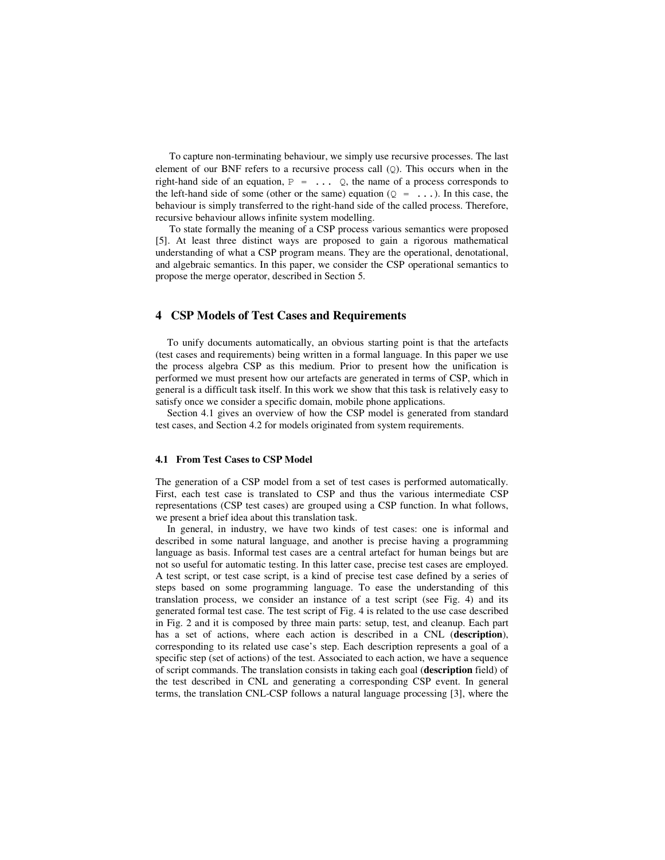To capture non-terminating behaviour, we simply use recursive processes. The last element of our BNF refers to a recursive process call  $(Q)$ . This occurs when in the right-hand side of an equation,  $P = \ldots Q$ , the name of a process corresponds to the left-hand side of some (other or the same) equation ( $Q = \ldots$ ). In this case, the behaviour is simply transferred to the right-hand side of the called process. Therefore, recursive behaviour allows infinite system modelling.

To state formally the meaning of a CSP process various semantics were proposed [5]. At least three distinct ways are proposed to gain a rigorous mathematical understanding of what a CSP program means. They are the operational, denotational, and algebraic semantics. In this paper, we consider the CSP operational semantics to propose the merge operator, described in Section 5.

## **4 CSP Models of Test Cases and Requirements**

To unify documents automatically, an obvious starting point is that the artefacts (test cases and requirements) being written in a formal language. In this paper we use the process algebra CSP as this medium. Prior to present how the unification is performed we must present how our artefacts are generated in terms of CSP, which in general is a difficult task itself. In this work we show that this task is relatively easy to satisfy once we consider a specific domain, mobile phone applications.

Section 4.1 gives an overview of how the CSP model is generated from standard test cases, and Section 4.2 for models originated from system requirements.

### **4.1 From Test Cases to CSP Model**

The generation of a CSP model from a set of test cases is performed automatically. First, each test case is translated to CSP and thus the various intermediate CSP representations (CSP test cases) are grouped using a CSP function. In what follows, we present a brief idea about this translation task.

In general, in industry, we have two kinds of test cases: one is informal and described in some natural language, and another is precise having a programming language as basis. Informal test cases are a central artefact for human beings but are not so useful for automatic testing. In this latter case, precise test cases are employed. A test script, or test case script, is a kind of precise test case defined by a series of steps based on some programming language. To ease the understanding of this translation process, we consider an instance of a test script (see Fig. 4) and its generated formal test case. The test script of Fig. 4 is related to the use case described in Fig. 2 and it is composed by three main parts: setup, test, and cleanup. Each part has a set of actions, where each action is described in a CNL (**description**), corresponding to its related use case's step. Each description represents a goal of a specific step (set of actions) of the test. Associated to each action, we have a sequence of script commands. The translation consists in taking each goal (**description** field) of the test described in CNL and generating a corresponding CSP event. In general terms, the translation CNL-CSP follows a natural language processing [3], where the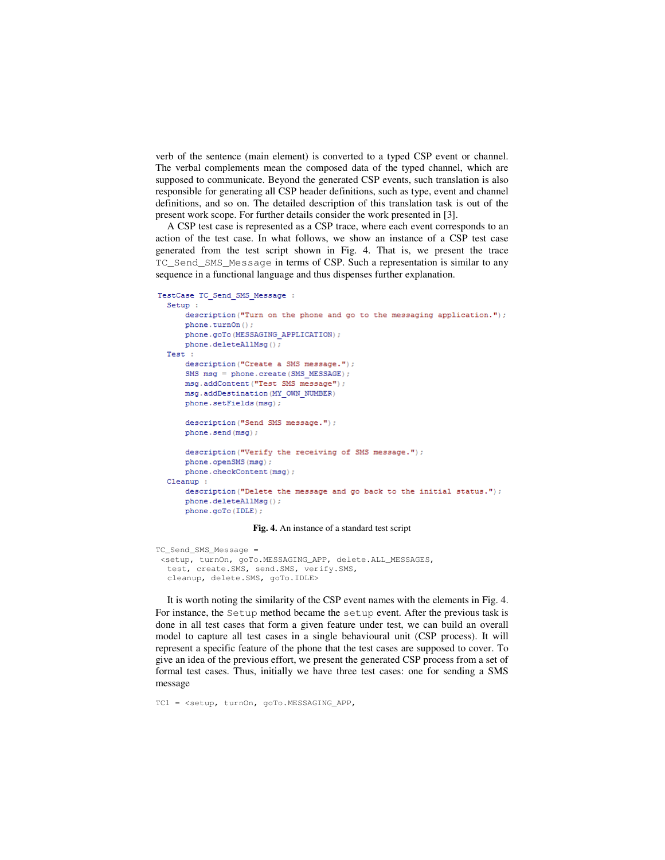verb of the sentence (main element) is converted to a typed CSP event or channel. The verbal complements mean the composed data of the typed channel, which are supposed to communicate. Beyond the generated CSP events, such translation is also responsible for generating all CSP header definitions, such as type, event and channel definitions, and so on. The detailed description of this translation task is out of the present work scope. For further details consider the work presented in [3].

A CSP test case is represented as a CSP trace, where each event corresponds to an action of the test case. In what follows, we show an instance of a CSP test case generated from the test script shown in Fig. 4. That is, we present the trace TC\_Send\_SMS\_Message in terms of CSP. Such a representation is similar to any sequence in a functional language and thus dispenses further explanation.

```
TestCase TC Send SMS Message :
 Setup:
     description ("Turn on the phone and go to the messaging application.");
     phone.turnOn();
     phone.goTo(MESSAGING_APPLICATION);
     phone.deleteAllMsq();
 Test :
     description ("Create a SMS message.");
     SMS msg = phone.create(SMS MESSAGE);
     msg.addContent("Test SMS message");
     msg.addDestination (MY OWN NUMBER)
     phone.setFields(msq);
     description ("Send SMS message.");
     phone.send(msg);
     description ("Verify the receiving of SMS message.");
     phone.openSMS(msg);
     phone.checkContent(msq);
 Cleanup :
     description ("Delete the message and go back to the initial status.");
     phone.deleteAllMsq();
     phone.goTo(IDLE);
```
**Fig. 4.** An instance of a standard test script

```
TC_Send_SMS_Message = 
  <setup, turnOn, goTo.MESSAGING_APP, delete.ALL_MESSAGES, 
  test, create.SMS, send.SMS, verify.SMS, 
  cleanup, delete.SMS, goTo.IDLE>
```
It is worth noting the similarity of the CSP event names with the elements in Fig. 4. For instance, the Setup method became the setup event. After the previous task is done in all test cases that form a given feature under test, we can build an overall model to capture all test cases in a single behavioural unit (CSP process). It will represent a specific feature of the phone that the test cases are supposed to cover. To give an idea of the previous effort, we present the generated CSP process from a set of formal test cases. Thus, initially we have three test cases: one for sending a SMS message

TC1 = <setup, turnOn, goTo.MESSAGING\_APP,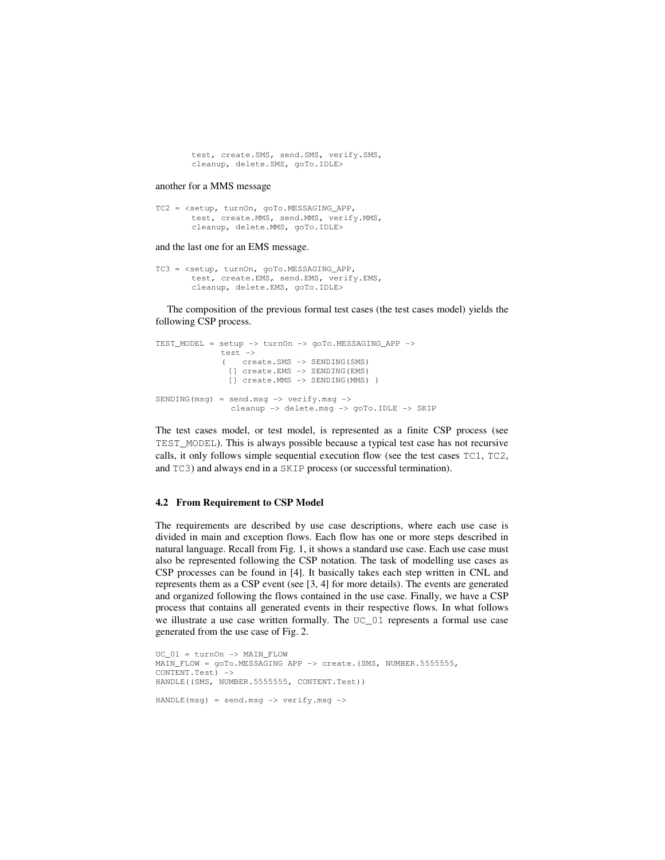test, create.SMS, send.SMS, verify.SMS, cleanup, delete.SMS, goTo.IDLE>

#### another for a MMS message

```
TC2 = <setup, turnOn, goTo.MESSAGING_APP, 
       test, create.MMS, send.MMS, verify.MMS, 
       cleanup, delete.MMS, goTo.IDLE>
```
#### and the last one for an EMS message.

```
TC3 = <setup, turnOn, goTo.MESSAGING_APP, 
       test, create.EMS, send.EMS, verify.EMS, 
       cleanup, delete.EMS, goTo.IDLE>
```
The composition of the previous formal test cases (the test cases model) yields the following CSP process.

```
TEST_MODEL = setup -> turnOn -> goTo.MESSAGING_APP -> 
               test -> 
                ( create.SMS -> SENDING(SMS) 
                 [] create.EMS -> SENDING(EMS) 
                 [] create.MMS -> SENDING(MMS) ) 
SENDING(msq) = send.msq \rightarrow verify.msq \rightarrow cleanup -> delete.msg -> goTo.IDLE -> SKIP
```
The test cases model, or test model, is represented as a finite CSP process (see TEST\_MODEL). This is always possible because a typical test case has not recursive calls, it only follows simple sequential execution flow (see the test cases TC1, TC2, and TC3) and always end in a SKIP process (or successful termination).

### **4.2 From Requirement to CSP Model**

The requirements are described by use case descriptions, where each use case is divided in main and exception flows. Each flow has one or more steps described in natural language. Recall from Fig. 1, it shows a standard use case. Each use case must also be represented following the CSP notation. The task of modelling use cases as CSP processes can be found in [4]. It basically takes each step written in CNL and represents them as a CSP event (see [3, 4] for more details). The events are generated and organized following the flows contained in the use case. Finally, we have a CSP process that contains all generated events in their respective flows. In what follows we illustrate a use case written formally. The UC\_01 represents a formal use case generated from the use case of Fig. 2.

```
UC_01 = turnOn -> MAIN_FLOW 
MAIN_FLOW = goTo.MESSAGING APP -> create.(SMS, NUMBER.5555555,
CONTENT.Test) -> 
HANDLE((SMS, NUMBER.5555555, CONTENT.Test)) 
HANDLE(msg) = send.msg -> verify.msg ->
```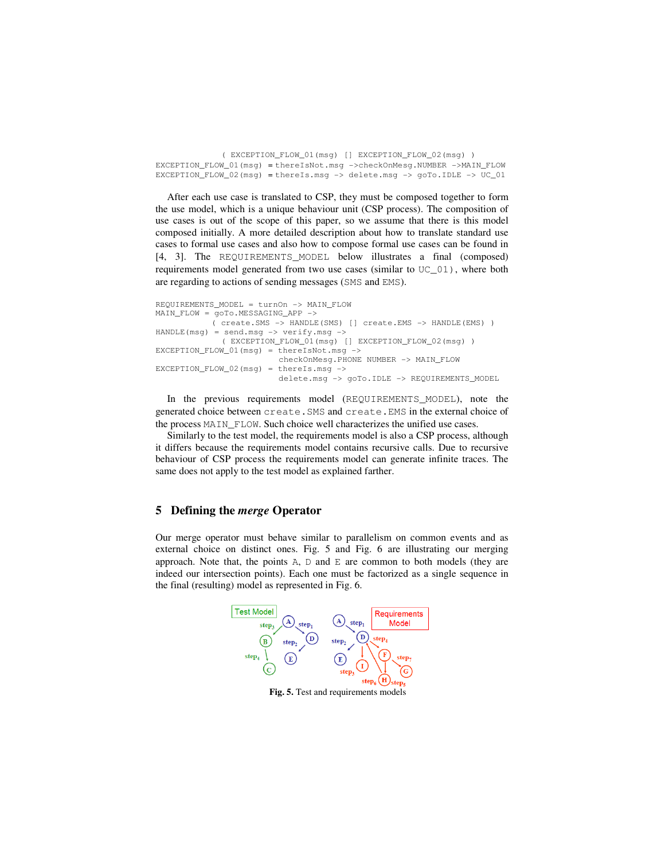( EXCEPTION\_FLOW\_01(msg) [] EXCEPTION\_FLOW\_02(msg) ) EXCEPTION\_FLOW\_01(msg) = thereIsNot.msg ->checkOnMesg.NUMBER ->MAIN\_FLOW EXCEPTION\_FLOW\_02(msg) = thereIs.msg  $\rightarrow$  delete.msg  $\rightarrow$  goTo.IDLE  $\rightarrow$  UC\_01

After each use case is translated to CSP, they must be composed together to form the use model, which is a unique behaviour unit (CSP process). The composition of use cases is out of the scope of this paper, so we assume that there is this model composed initially. A more detailed description about how to translate standard use cases to formal use cases and also how to compose formal use cases can be found in [4, 3]. The REQUIREMENTS\_MODEL below illustrates a final (composed) requirements model generated from two use cases (similar to UC\_01), where both are regarding to actions of sending messages (SMS and EMS).

```
REQUIREMENTS_MODEL = turnOn -> MAIN_FLOW 
MAIN_FLOW = goTo.MESSAGING_APP -> 
             ( create.SMS -> HANDLE(SMS) [] create.EMS -> HANDLE(EMS) ) 
HANDLE(msg) = send.msg -> verify.msg -> 
                ( EXCEPTION_FLOW_01(msg) [] EXCEPTION_FLOW_02(msg) ) 
EXCEPTION_FLOW_01(msg) = the<br>TSNot.msg <math>\rightarrow</math> checkOnMesg.PHONE NUMBER -> MAIN_FLOW 
EXCEPTION_FLOW_02(msg) = thereIs.msg -> 
                            delete.msg -> goTo.IDLE -> REQUIREMENTS_MODEL
```
In the previous requirements model (REQUIREMENTS\_MODEL), note the generated choice between create.SMS and create.EMS in the external choice of the process MAIN\_FLOW. Such choice well characterizes the unified use cases.

Similarly to the test model, the requirements model is also a CSP process, although it differs because the requirements model contains recursive calls. Due to recursive behaviour of CSP process the requirements model can generate infinite traces. The same does not apply to the test model as explained farther.

## **5 Defining the** *merge* **Operator**

Our merge operator must behave similar to parallelism on common events and as external choice on distinct ones. Fig. 5 and Fig. 6 are illustrating our merging approach. Note that, the points  $A$ ,  $D$  and  $E$  are common to both models (they are indeed our intersection points). Each one must be factorized as a single sequence in the final (resulting) model as represented in Fig. 6.



Fig. 5. Test and requirements models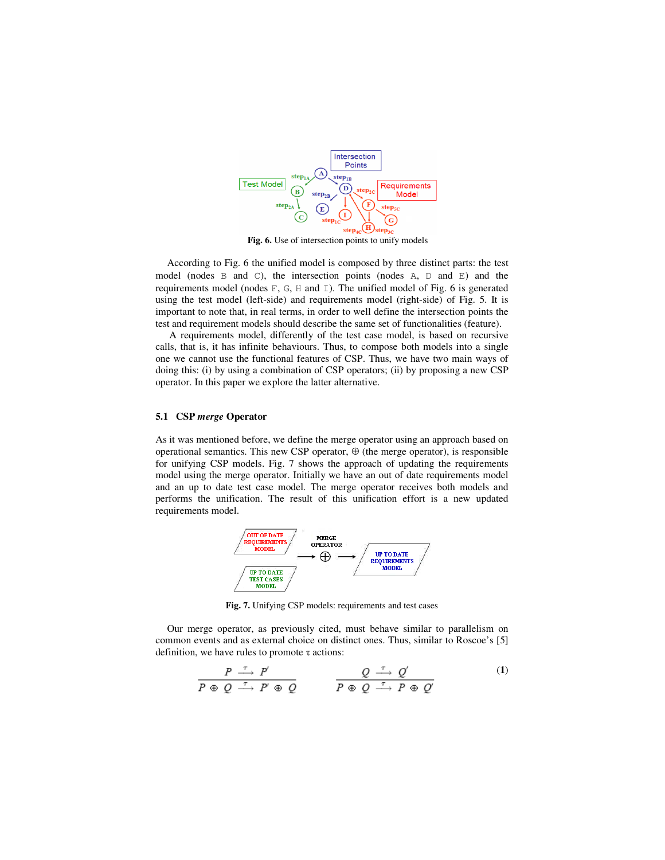

**Fig. 6.** Use of intersection points to unify models

According to Fig. 6 the unified model is composed by three distinct parts: the test model (nodes B and C), the intersection points (nodes A, D and E) and the requirements model (nodes  $F$ ,  $G$ ,  $H$  and  $I$ ). The unified model of Fig. 6 is generated using the test model (left-side) and requirements model (right-side) of Fig. 5. It is important to note that, in real terms, in order to well define the intersection points the test and requirement models should describe the same set of functionalities (feature).

A requirements model, differently of the test case model, is based on recursive calls, that is, it has infinite behaviours. Thus, to compose both models into a single one we cannot use the functional features of CSP. Thus, we have two main ways of doing this: (i) by using a combination of CSP operators; (ii) by proposing a new CSP operator. In this paper we explore the latter alternative.

### **5.1 CSP** *merge* **Operator**

As it was mentioned before, we define the merge operator using an approach based on operational semantics. This new CSP operator,  $\oplus$  (the merge operator), is responsible for unifying CSP models. Fig. 7 shows the approach of updating the requirements model using the merge operator. Initially we have an out of date requirements model and an up to date test case model. The merge operator receives both models and performs the unification. The result of this unification effort is a new updated requirements model.



**Fig. 7.** Unifying CSP models: requirements and test cases

Our merge operator, as previously cited, must behave similar to parallelism on common events and as external choice on distinct ones. Thus, similar to Roscoe's [5] definition, we have rules to promote  $\tau$  actions:

$$
\frac{P \stackrel{\tau}{\longrightarrow} P'}{P \oplus Q \stackrel{\tau}{\longrightarrow} P' \oplus Q} \qquad \qquad \frac{Q \stackrel{\tau}{\longrightarrow} Q'}{P \oplus Q \stackrel{\tau}{\longrightarrow} P \oplus Q'} \tag{1}
$$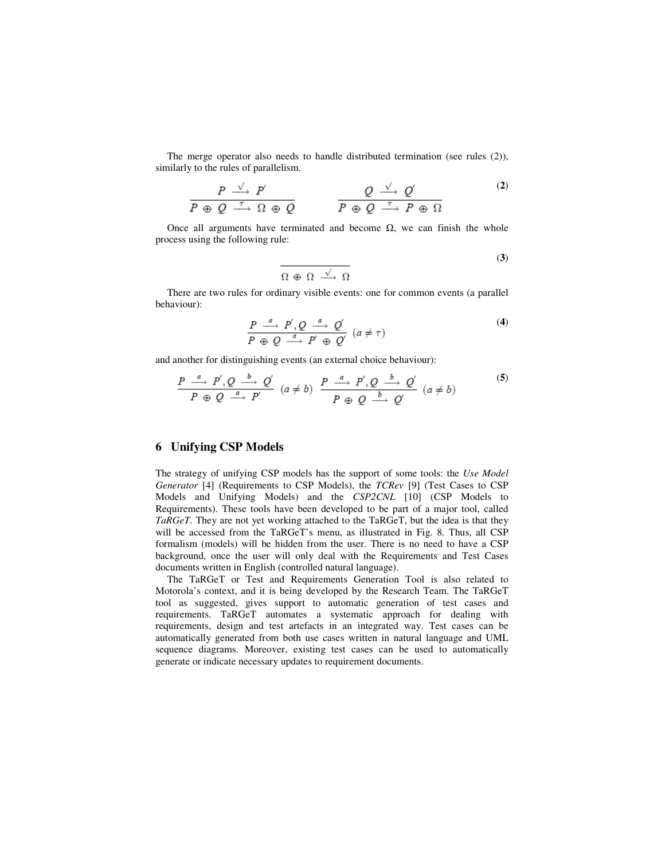The merge operator also needs to handle distributed termination (see rules (2)), similarly to the rules of parallelism.

$$
\frac{P \stackrel{\sqrt{\phantom{a}}\phantom{\phantom{a}}}{P \oplus Q \stackrel{\tau}{\longrightarrow} P'}}{P \oplus Q \stackrel{\tau}{\longrightarrow} \Omega \oplus Q} \qquad \qquad \frac{Q \stackrel{\sqrt{\phantom{a}}\phantom{\prime}}\phantom{\gamma}}{P \oplus Q \stackrel{\tau}{\longrightarrow} P \oplus \Omega} \qquad (2)
$$

Once all arguments have terminated and become  $Ω$ , we can finish the whole process using the following rule:

$$
\frac{}{\Omega \oplus \Omega \xrightarrow{\sqrt{\ } } \Omega}
$$
 (3)

There are two rules for ordinary visible events: one for common events (a parallel behaviour):

$$
\frac{P \stackrel{a}{\longrightarrow} P', Q \stackrel{a}{\longrightarrow} Q'}{P \oplus Q \stackrel{a}{\longrightarrow} P' \oplus Q'} (a \neq \tau)
$$
\n(4)

and another for distinguishing events (an external choice behaviour):

$$
\frac{P \stackrel{a}{\longrightarrow} P', Q \stackrel{b}{\longrightarrow} Q'}{P \oplus Q \stackrel{a}{\longrightarrow} P'} (a \neq b) \quad \frac{P \stackrel{a}{\longrightarrow} P', Q \stackrel{b}{\longrightarrow} Q'}{P \oplus Q \stackrel{b}{\longrightarrow} Q'} (a \neq b)
$$
 (5)

## **6 Unifying CSP Models**

The strategy of unifying CSP models has the support of some tools: the *Use Model Generator* [4] (Requirements to CSP Models), the *TCRev* [9] (Test Cases to CSP Models and Unifying Models) and the *CSP2CNL* [10] (CSP Models to Requirements). These tools have been developed to be part of a major tool, called *TaRGeT*. They are not yet working attached to the TaRGeT, but the idea is that they will be accessed from the TaRGeT's menu, as illustrated in Fig. 8. Thus, all CSP formalism (models) will be hidden from the user. There is no need to have a CSP background, once the user will only deal with the Requirements and Test Cases documents written in English (controlled natural language).

The TaRGeT or Test and Requirements Generation Tool is also related to Motorola's context, and it is being developed by the Research Team. The TaRGeT tool as suggested, gives support to automatic generation of test cases and requirements. TaRGeT automates a systematic approach for dealing with requirements, design and test artefacts in an integrated way. Test cases can be automatically generated from both use cases written in natural language and UML sequence diagrams. Moreover, existing test cases can be used to automatically generate or indicate necessary updates to requirement documents.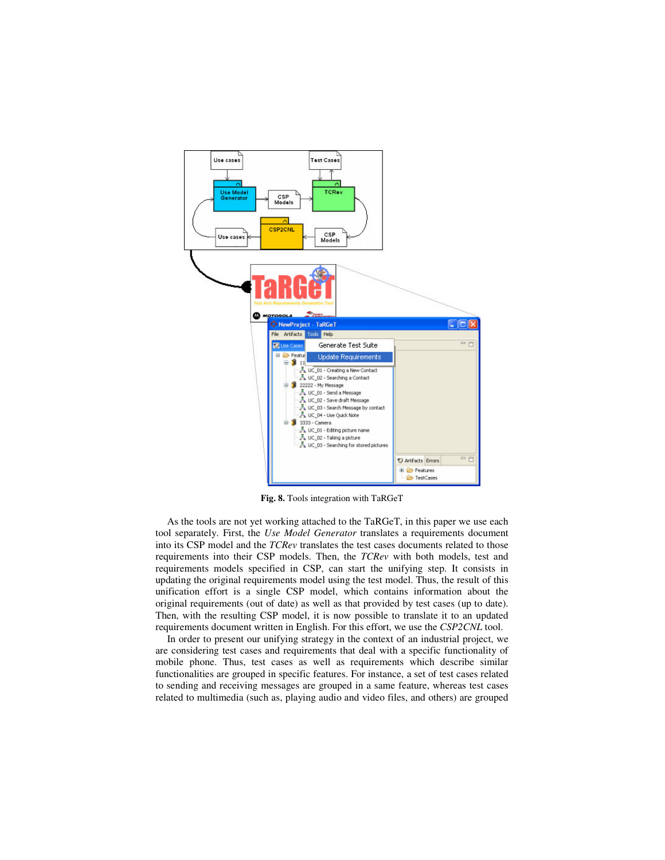

**Fig. 8.** Tools integration with TaRGeT

As the tools are not yet working attached to the TaRGeT, in this paper we use each tool separately. First, the *Use Model Generator* translates a requirements document into its CSP model and the *TCRev* translates the test cases documents related to those requirements into their CSP models. Then, the *TCRev* with both models, test and requirements models specified in CSP, can start the unifying step. It consists in updating the original requirements model using the test model. Thus, the result of this unification effort is a single CSP model, which contains information about the original requirements (out of date) as well as that provided by test cases (up to date). Then, with the resulting CSP model, it is now possible to translate it to an updated requirements document written in English. For this effort, we use the *CSP2CNL* tool.

In order to present our unifying strategy in the context of an industrial project, we are considering test cases and requirements that deal with a specific functionality of mobile phone. Thus, test cases as well as requirements which describe similar functionalities are grouped in specific features. For instance, a set of test cases related to sending and receiving messages are grouped in a same feature, whereas test cases related to multimedia (such as, playing audio and video files, and others) are grouped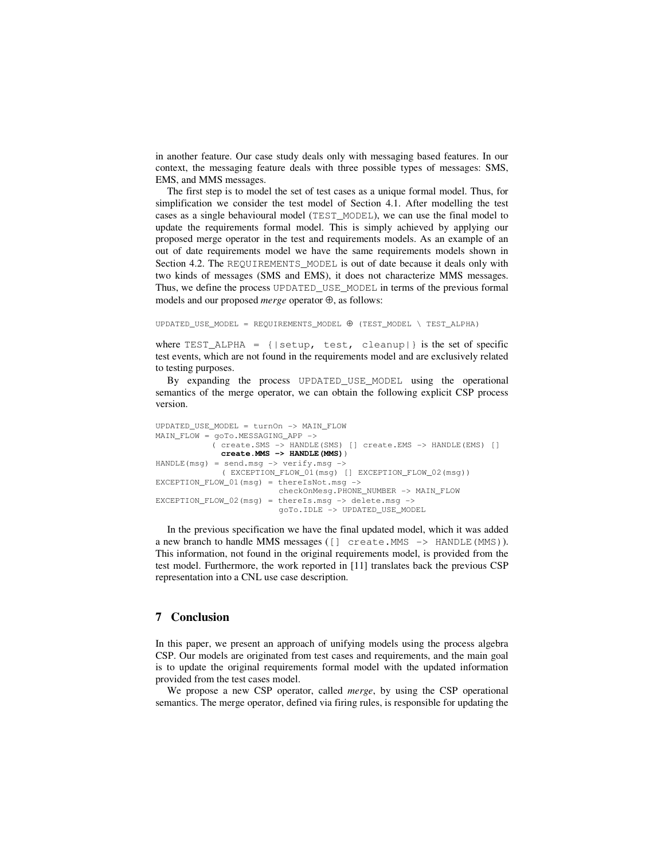in another feature. Our case study deals only with messaging based features. In our context, the messaging feature deals with three possible types of messages: SMS, EMS, and MMS messages.

The first step is to model the set of test cases as a unique formal model. Thus, for simplification we consider the test model of Section 4.1. After modelling the test cases as a single behavioural model (TEST\_MODEL), we can use the final model to update the requirements formal model. This is simply achieved by applying our proposed merge operator in the test and requirements models. As an example of an out of date requirements model we have the same requirements models shown in Section 4.2. The REQUIREMENTS\_MODEL is out of date because it deals only with two kinds of messages (SMS and EMS), it does not characterize MMS messages. Thus, we define the process UPDATED\_USE\_MODEL in terms of the previous formal models and our proposed *merge* operator ⊕, as follows:

UPDATED\_USE\_MODEL = REQUIREMENTS\_MODEL ⊕ (TEST\_MODEL \ TEST\_ALPHA)

where  $TEST\_ALPHA = \{ | setup, test, cleanup | \}$  is the set of specific test events, which are not found in the requirements model and are exclusively related to testing purposes.

By expanding the process UPDATED\_USE\_MODEL using the operational semantics of the merge operator, we can obtain the following explicit CSP process version.

```
UPDATED_USE_MODEL = turnOn -> MAIN_FLOW 
MAIN_FLOW = goTo.MESSAGING_APP -> 
             ( create.SMS -> HANDLE(SMS) [] create.EMS -> HANDLE(EMS) [] 
               create.MMS -> HANDLE(MMS)) 
HANDLE(msg) = send.msg \rightarrow verify.msg \rightarrow ( EXCEPTION_FLOW_01(msg) [] EXCEPTION_FLOW_02(msg)) 
EXCEPTION_FLOW_01(msg) = thereIsNot.msg -> 
                           checkOnMesg.PHONE_NUMBER -> MAIN_FLOW 
EXCEPTION_FLOW_02(msg) = thereIs.msg -> delete.msg -> 
                            goTo.IDLE -> UPDATED_USE_MODEL
```
In the previous specification we have the final updated model, which it was added a new branch to handle MMS messages ( $\lceil \rceil$  create. MMS  $\rightarrow$  HANDLE (MMS)). This information, not found in the original requirements model, is provided from the test model. Furthermore, the work reported in [11] translates back the previous CSP representation into a CNL use case description.

### **7 Conclusion**

In this paper, we present an approach of unifying models using the process algebra CSP. Our models are originated from test cases and requirements, and the main goal is to update the original requirements formal model with the updated information provided from the test cases model.

We propose a new CSP operator, called *merge*, by using the CSP operational semantics. The merge operator, defined via firing rules, is responsible for updating the